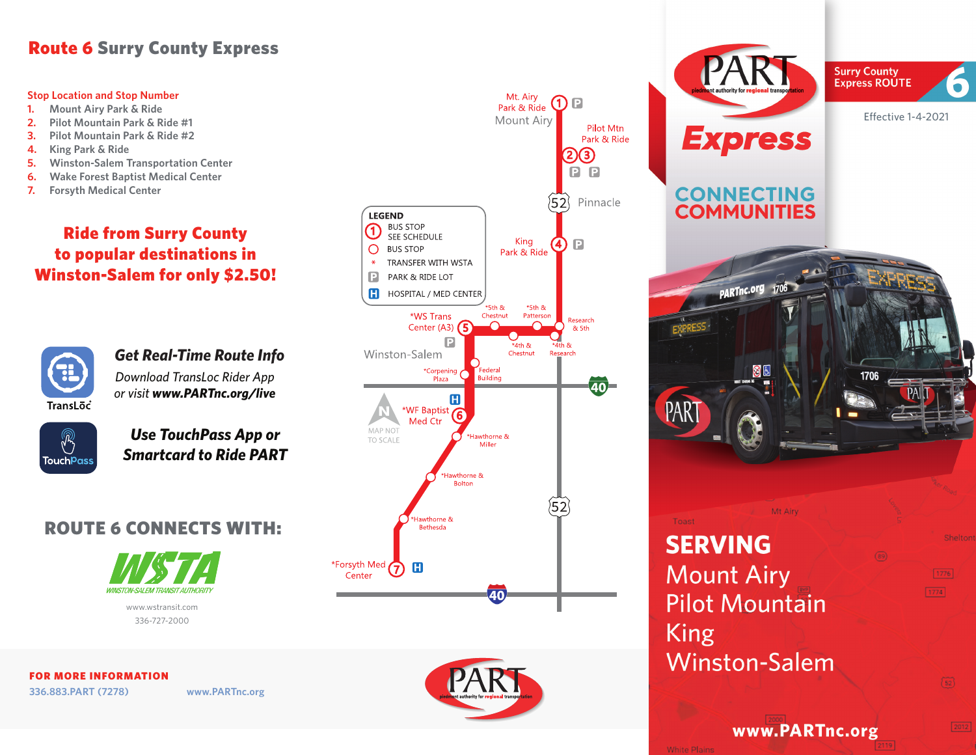## Route 6 Surry County Express

## **Stop Location and Stop Number**

- **1. Mount Airy Park & Ride**
- **2. Pilot Mountain Park & Ride #1**
- **3. Pilot Mountain Park & Ride #2**
- **4. King Park & Ride**
- **5. Winston-Salem Transportation Center**
- **6. Wake Forest Baptist Medical Center**
- **7. Forsyth Medical Center**

## Ride from Surry County to popular destinations in Winston-Salem for only \$2.50!



*Download TransLoc Rider App or visit www.PARTnc.org/live Get Real-Time Route Info*



*Use TouchPass App or Smartcard to Ride PART*

## ROUTE 6 CONNECTS WITH:



www.wstransit.com 336-727-2000

FOR MORE INFORMATION **336.883.PART (7278) www.PARTnc.org**





**Surry County Express ROUTE** Effective 1-4-2021**Express CONNECTING COMMUNITIES** PARTnc.org 1706 网目 1706 PAR

6

 $1776$ 

 $\binom{52}{ }$ 

 $1774$ 

Toast **SERVING Mount Airy Pilot Mountain King Winston-Salem** 

www.PARTnc.org